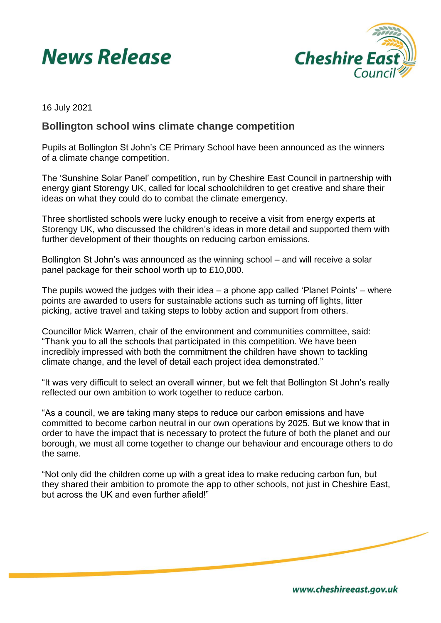## **News Release**



16 July 2021

## **Bollington school wins climate change competition**

Pupils at Bollington St John's CE Primary School have been announced as the winners of a climate change competition.

The 'Sunshine Solar Panel' competition, run by Cheshire East Council in partnership with energy giant Storengy UK, called for local schoolchildren to get creative and share their ideas on what they could do to combat the climate emergency.

Three shortlisted schools were lucky enough to receive a visit from energy experts at Storengy UK, who discussed the children's ideas in more detail and supported them with further development of their thoughts on reducing carbon emissions.

Bollington St John's was announced as the winning school – and will receive a solar panel package for their school worth up to £10,000.

The pupils wowed the judges with their idea – a phone app called 'Planet Points' – where points are awarded to users for sustainable actions such as turning off lights, litter picking, active travel and taking steps to lobby action and support from others.

Councillor Mick Warren, chair of the environment and communities committee, said: "Thank you to all the schools that participated in this competition. We have been incredibly impressed with both the commitment the children have shown to tackling climate change, and the level of detail each project idea demonstrated."

"It was very difficult to select an overall winner, but we felt that Bollington St John's really reflected our own ambition to work together to reduce carbon.

"As a council, we are taking many steps to reduce our carbon emissions and have committed to become carbon neutral in our own operations by 2025. But we know that in order to have the impact that is necessary to protect the future of both the planet and our borough, we must all come together to change our behaviour and encourage others to do the same.

"Not only did the children come up with a great idea to make reducing carbon fun, but they shared their ambition to promote the app to other schools, not just in Cheshire East, but across the UK and even further afield!"

www.cheshireeast.gov.uk